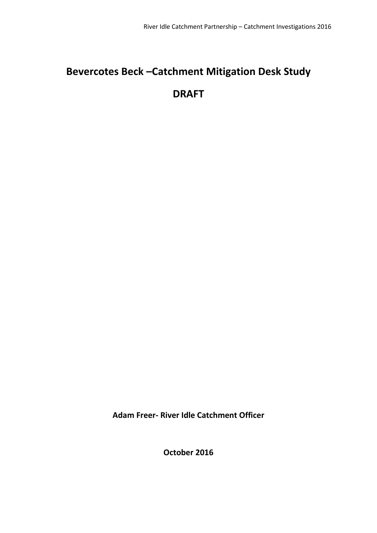# **Bevercotes Beck –Catchment Mitigation Desk Study**

# **DRAFT**

**Adam Freer- River Idle Catchment Officer**

**October 2016**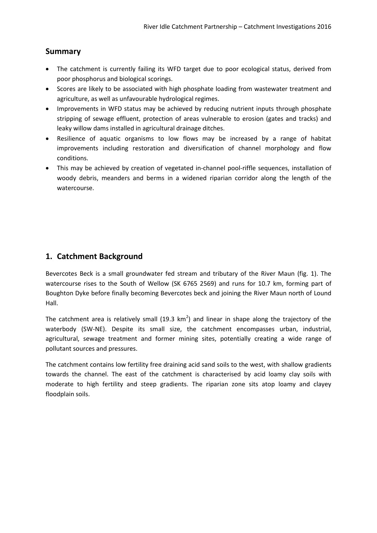## **Summary**

- The catchment is currently failing its WFD target due to poor ecological status, derived from poor phosphorus and biological scorings.
- Scores are likely to be associated with high phosphate loading from wastewater treatment and agriculture, as well as unfavourable hydrological regimes.
- Improvements in WFD status may be achieved by reducing nutrient inputs through phosphate stripping of sewage effluent, protection of areas vulnerable to erosion (gates and tracks) and leaky willow dams installed in agricultural drainage ditches.
- Resilience of aquatic organisms to low flows may be increased by a range of habitat improvements including restoration and diversification of channel morphology and flow conditions.
- This may be achieved by creation of vegetated in-channel pool-riffle sequences, installation of woody debris, meanders and berms in a widened riparian corridor along the length of the watercourse.

# **1. Catchment Background**

Bevercotes Beck is a small groundwater fed stream and tributary of the River Maun (fig. 1). The watercourse rises to the South of Wellow (SK 6765 2569) and runs for 10.7 km, forming part of Boughton Dyke before finally becoming Bevercotes beck and joining the River Maun north of Lound Hall.

The catchment area is relatively small (19.3  $km^2$ ) and linear in shape along the trajectory of the waterbody (SW-NE). Despite its small size, the catchment encompasses urban, industrial, agricultural, sewage treatment and former mining sites, potentially creating a wide range of pollutant sources and pressures.

The catchment contains low fertility free draining acid sand soils to the west, with shallow gradients towards the channel. The east of the catchment is characterised by acid loamy clay soils with moderate to high fertility and steep gradients. The riparian zone sits atop loamy and clayey floodplain soils.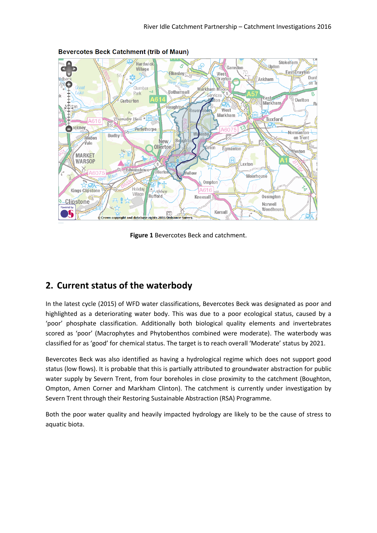

**Bevercotes Beck Catchment (trib of Maun)** 

**Figure 1** Bevercotes Beck and catchment.

# **2. Current status of the waterbody**

In the latest cycle (2015) of WFD water classifications, Bevercotes Beck was designated as poor and highlighted as a deteriorating water body. This was due to a poor ecological status, caused by a 'poor' phosphate classification. Additionally both biological quality elements and invertebrates scored as 'poor' (Macrophytes and Phytobenthos combined were moderate). The waterbody was classified for as 'good' for chemical status. The target is to reach overall 'Moderate' status by 2021.

Bevercotes Beck was also identified as having a hydrological regime which does not support good status (low flows). It is probable that this is partially attributed to groundwater abstraction for public water supply by Severn Trent, from four boreholes in close proximity to the catchment (Boughton, Ompton, Amen Corner and Markham Clinton). The catchment is currently under investigation by Severn Trent through their Restoring Sustainable Abstraction (RSA) Programme.

Both the poor water quality and heavily impacted hydrology are likely to be the cause of stress to aquatic biota.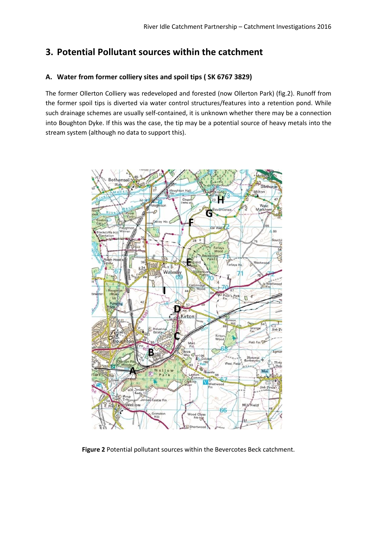# **3. Potential Pollutant sources within the catchment**

#### **A. Water from former colliery sites and spoil tips ( SK 6767 3829)**

The former Ollerton Colliery was redeveloped and forested (now Ollerton Park) (fig.2). Runoff from the former spoil tips is diverted via water control structures/features into a retention pond. While such drainage schemes are usually self-contained, it is unknown whether there may be a connection into Boughton Dyke. If this was the case, the tip may be a potential source of heavy metals into the stream system (although no data to support this).



**Figure 2** Potential pollutant sources within the Bevercotes Beck catchment.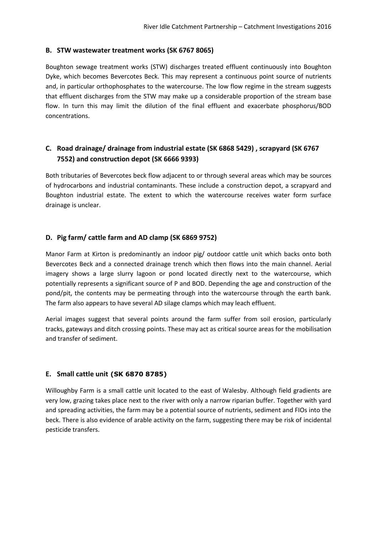#### **B. STW wastewater treatment works (SK 6767 8065)**

Boughton sewage treatment works (STW) discharges treated effluent continuously into Boughton Dyke, which becomes Bevercotes Beck. This may represent a continuous point source of nutrients and, in particular orthophosphates to the watercourse. The low flow regime in the stream suggests that effluent discharges from the STW may make up a considerable proportion of the stream base flow. In turn this may limit the dilution of the final effluent and exacerbate phosphorus/BOD concentrations.

## **C. Road drainage/ drainage from industrial estate (SK 6868 5429) , scrapyard (SK 6767 7552) and construction depot (SK 6666 9393)**

Both tributaries of Bevercotes beck flow adjacent to or through several areas which may be sources of hydrocarbons and industrial contaminants. These include a construction depot, a scrapyard and Boughton industrial estate. The extent to which the watercourse receives water form surface drainage is unclear.

#### **D. Pig farm/ cattle farm and AD clamp (SK 6869 9752)**

Manor Farm at Kirton is predominantly an indoor pig/ outdoor cattle unit which backs onto both Bevercotes Beck and a connected drainage trench which then flows into the main channel. Aerial imagery shows a large slurry lagoon or pond located directly next to the watercourse, which potentially represents a significant source of P and BOD. Depending the age and construction of the pond/pit, the contents may be permeating through into the watercourse through the earth bank. The farm also appears to have several AD silage clamps which may leach effluent.

Aerial images suggest that several points around the farm suffer from soil erosion, particularly tracks, gateways and ditch crossing points. These may act as critical source areas for the mobilisation and transfer of sediment.

#### **E. Small cattle unit (SK 6870 8785)**

Willoughby Farm is a small cattle unit located to the east of Walesby. Although field gradients are very low, grazing takes place next to the river with only a narrow riparian buffer. Together with yard and spreading activities, the farm may be a potential source of nutrients, sediment and FIOs into the beck. There is also evidence of arable activity on the farm, suggesting there may be risk of incidental pesticide transfers.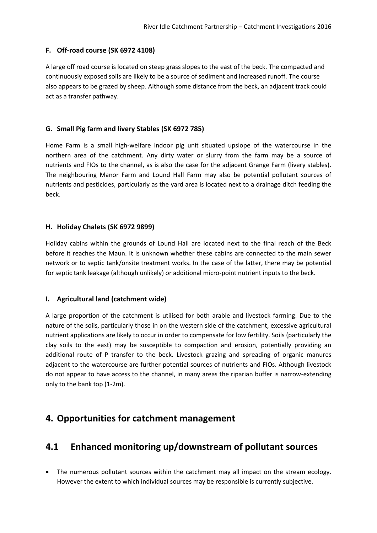#### **F. Off-road course (SK 6972 4108)**

A large off road course is located on steep grass slopes to the east of the beck. The compacted and continuously exposed soils are likely to be a source of sediment and increased runoff. The course also appears to be grazed by sheep. Although some distance from the beck, an adjacent track could act as a transfer pathway.

#### **G. Small Pig farm and livery Stables (SK 6972 785)**

Home Farm is a small high-welfare indoor pig unit situated upslope of the watercourse in the northern area of the catchment. Any dirty water or slurry from the farm may be a source of nutrients and FIOs to the channel, as is also the case for the adjacent Grange Farm (livery stables). The neighbouring Manor Farm and Lound Hall Farm may also be potential pollutant sources of nutrients and pesticides, particularly as the yard area is located next to a drainage ditch feeding the beck.

#### **H. Holiday Chalets (SK 6972 9899)**

Holiday cabins within the grounds of Lound Hall are located next to the final reach of the Beck before it reaches the Maun. It is unknown whether these cabins are connected to the main sewer network or to septic tank/onsite treatment works. In the case of the latter, there may be potential for septic tank leakage (although unlikely) or additional micro-point nutrient inputs to the beck.

#### **I. Agricultural land (catchment wide)**

A large proportion of the catchment is utilised for both arable and livestock farming. Due to the nature of the soils, particularly those in on the western side of the catchment, excessive agricultural nutrient applications are likely to occur in order to compensate for low fertility. Soils (particularly the clay soils to the east) may be susceptible to compaction and erosion, potentially providing an additional route of P transfer to the beck. Livestock grazing and spreading of organic manures adjacent to the watercourse are further potential sources of nutrients and FIOs. Although livestock do not appear to have access to the channel, in many areas the riparian buffer is narrow-extending only to the bank top (1-2m).

# **4. Opportunities for catchment management**

# **4.1 Enhanced monitoring up/downstream of pollutant sources**

 The numerous pollutant sources within the catchment may all impact on the stream ecology. However the extent to which individual sources may be responsible is currently subjective.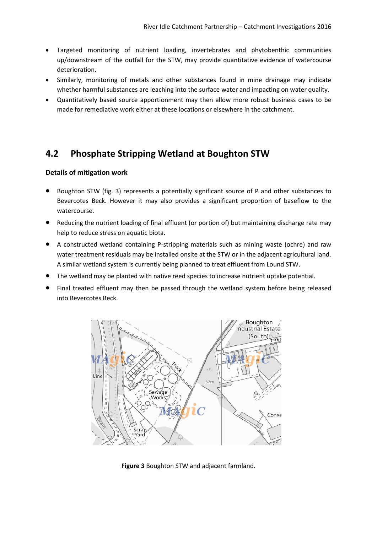- Targeted monitoring of nutrient loading, invertebrates and phytobenthic communities up/downstream of the outfall for the STW, may provide quantitative evidence of watercourse deterioration.
- Similarly, monitoring of metals and other substances found in mine drainage may indicate whether harmful substances are leaching into the surface water and impacting on water quality.
- Quantitatively based source apportionment may then allow more robust business cases to be made for remediative work either at these locations or elsewhere in the catchment.

# **4.2 Phosphate Stripping Wetland at Boughton STW**

#### **Details of mitigation work**

- Boughton STW (fig. 3) represents a potentially significant source of P and other substances to Bevercotes Beck. However it may also provides a significant proportion of baseflow to the watercourse.
- Reducing the nutrient loading of final effluent (or portion of) but maintaining discharge rate may help to reduce stress on aquatic biota.
- A constructed wetland containing P-stripping materials such as mining waste (ochre) and raw water treatment residuals may be installed onsite at the STW or in the adjacent agricultural land. A similar wetland system is currently being planned to treat effluent from Lound STW.
- The wetland may be planted with native reed species to increase nutrient uptake potential.
- Final treated effluent may then be passed through the wetland system before being released into Bevercotes Beck.



**Figure 3** Boughton STW and adjacent farmland.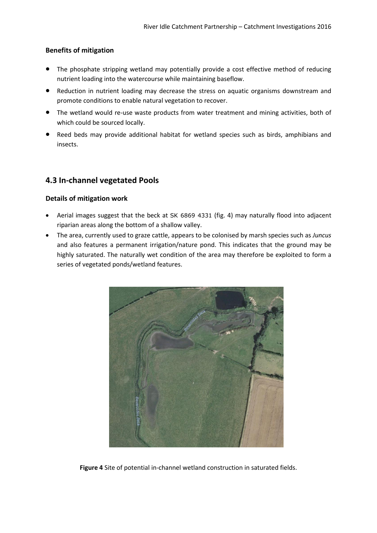#### **Benefits of mitigation**

- The phosphate stripping wetland may potentially provide a cost effective method of reducing nutrient loading into the watercourse while maintaining baseflow.
- Reduction in nutrient loading may decrease the stress on aquatic organisms downstream and promote conditions to enable natural vegetation to recover.
- The wetland would re-use waste products from water treatment and mining activities, both of which could be sourced locally.
- Reed beds may provide additional habitat for wetland species such as birds, amphibians and insects.

## **4.3 In-channel vegetated Pools**

#### **Details of mitigation work**

- Aerial images suggest that the beck at SK 6869 4331 (fig. 4) may naturally flood into adjacent riparian areas along the bottom of a shallow valley.
- The area, currently used to graze cattle, appears to be colonised by marsh species such as *Juncus* and also features a permanent irrigation/nature pond. This indicates that the ground may be highly saturated. The naturally wet condition of the area may therefore be exploited to form a series of vegetated ponds/wetland features.



**Figure 4** Site of potential in-channel wetland construction in saturated fields.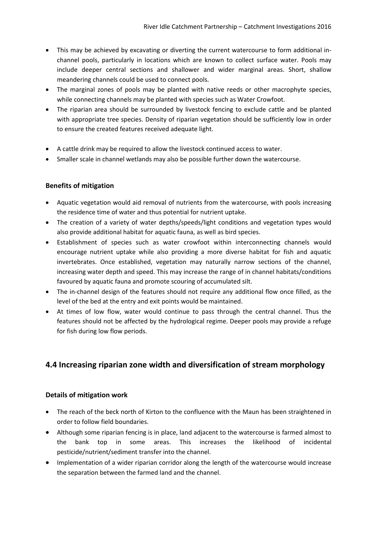- This may be achieved by excavating or diverting the current watercourse to form additional inchannel pools, particularly in locations which are known to collect surface water. Pools may include deeper central sections and shallower and wider marginal areas. Short, shallow meandering channels could be used to connect pools.
- The marginal zones of pools may be planted with native reeds or other macrophyte species, while connecting channels may be planted with species such as Water Crowfoot.
- The riparian area should be surrounded by livestock fencing to exclude cattle and be planted with appropriate tree species. Density of riparian vegetation should be sufficiently low in order to ensure the created features received adequate light.
- A cattle drink may be required to allow the livestock continued access to water.
- Smaller scale in channel wetlands may also be possible further down the watercourse.

#### **Benefits of mitigation**

- Aquatic vegetation would aid removal of nutrients from the watercourse, with pools increasing the residence time of water and thus potential for nutrient uptake.
- The creation of a variety of water depths/speeds/light conditions and vegetation types would also provide additional habitat for aquatic fauna, as well as bird species.
- Establishment of species such as water crowfoot within interconnecting channels would encourage nutrient uptake while also providing a more diverse habitat for fish and aquatic invertebrates. Once established, vegetation may naturally narrow sections of the channel, increasing water depth and speed. This may increase the range of in channel habitats/conditions favoured by aquatic fauna and promote scouring of accumulated silt.
- The in-channel design of the features should not require any additional flow once filled, as the level of the bed at the entry and exit points would be maintained.
- At times of low flow, water would continue to pass through the central channel. Thus the features should not be affected by the hydrological regime. Deeper pools may provide a refuge for fish during low flow periods.

## **4.4 Increasing riparian zone width and diversification of stream morphology**

#### **Details of mitigation work**

- The reach of the beck north of Kirton to the confluence with the Maun has been straightened in order to follow field boundaries.
- Although some riparian fencing is in place, land adjacent to the watercourse is farmed almost to the bank top in some areas. This increases the likelihood of incidental pesticide/nutrient/sediment transfer into the channel.
- Implementation of a wider riparian corridor along the length of the watercourse would increase the separation between the farmed land and the channel.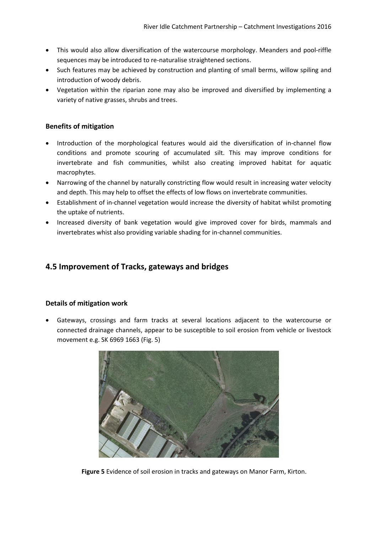- This would also allow diversification of the watercourse morphology. Meanders and pool-riffle sequences may be introduced to re-naturalise straightened sections.
- Such features may be achieved by construction and planting of small berms, willow spiling and introduction of woody debris.
- Vegetation within the riparian zone may also be improved and diversified by implementing a variety of native grasses, shrubs and trees.

#### **Benefits of mitigation**

- Introduction of the morphological features would aid the diversification of in-channel flow conditions and promote scouring of accumulated silt. This may improve conditions for invertebrate and fish communities, whilst also creating improved habitat for aquatic macrophytes.
- Narrowing of the channel by naturally constricting flow would result in increasing water velocity and depth. This may help to offset the effects of low flows on invertebrate communities.
- Establishment of in-channel vegetation would increase the diversity of habitat whilst promoting the uptake of nutrients.
- Increased diversity of bank vegetation would give improved cover for birds, mammals and invertebrates whist also providing variable shading for in-channel communities.

## **4.5 Improvement of Tracks, gateways and bridges**

#### **Details of mitigation work**

 Gateways, crossings and farm tracks at several locations adjacent to the watercourse or connected drainage channels, appear to be susceptible to soil erosion from vehicle or livestock movement e.g. SK 6969 1663 (Fig. 5)



**Figure 5** Evidence of soil erosion in tracks and gateways on Manor Farm, Kirton.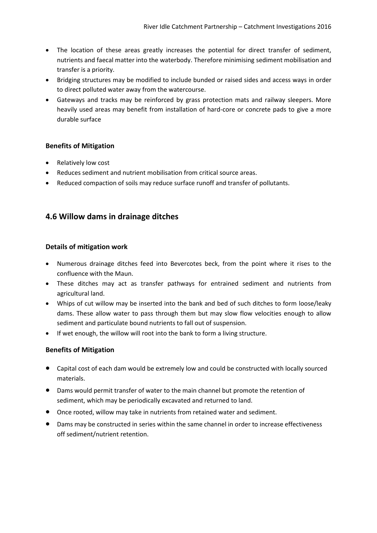- The location of these areas greatly increases the potential for direct transfer of sediment, nutrients and faecal matter into the waterbody. Therefore minimising sediment mobilisation and transfer is a priority.
- Bridging structures may be modified to include bunded or raised sides and access ways in order to direct polluted water away from the watercourse.
- Gateways and tracks may be reinforced by grass protection mats and railway sleepers. More heavily used areas may benefit from installation of hard-core or concrete pads to give a more durable surface

#### **Benefits of Mitigation**

- Relatively low cost
- Reduces sediment and nutrient mobilisation from critical source areas.
- Reduced compaction of soils may reduce surface runoff and transfer of pollutants.

## **4.6 Willow dams in drainage ditches**

#### **Details of mitigation work**

- Numerous drainage ditches feed into Bevercotes beck, from the point where it rises to the confluence with the Maun.
- These ditches may act as transfer pathways for entrained sediment and nutrients from agricultural land.
- Whips of cut willow may be inserted into the bank and bed of such ditches to form loose/leaky dams. These allow water to pass through them but may slow flow velocities enough to allow sediment and particulate bound nutrients to fall out of suspension.
- If wet enough, the willow will root into the bank to form a living structure.

#### **Benefits of Mitigation**

- Capital cost of each dam would be extremely low and could be constructed with locally sourced materials.
- Dams would permit transfer of water to the main channel but promote the retention of sediment, which may be periodically excavated and returned to land.
- Once rooted, willow may take in nutrients from retained water and sediment.
- Dams may be constructed in series within the same channel in order to increase effectiveness off sediment/nutrient retention.